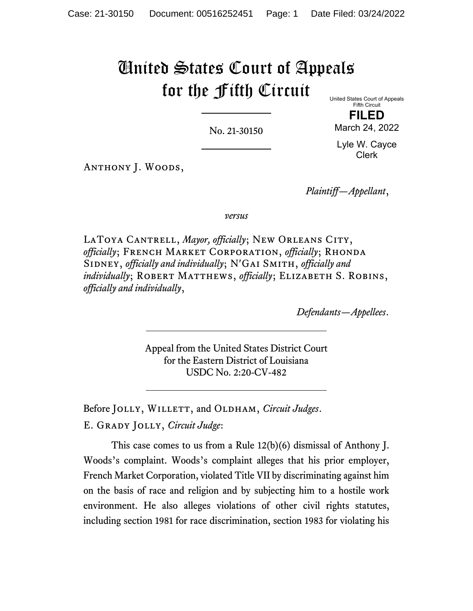## United States Court of Appeals for the Fifth Circuit United States Court of Appeals

No. 21-30150

Fifth Circuit **FILED**

March 24, 2022 Lyle W. Cayce

Clerk

Anthony J. Woods,

*Plaintiff—Appellant*,

*versus*

LATOYA CANTRELL, *Mayor*, officially; NEW ORLEANS CITY, *officially*; French Market Corporation, *officially*; Rhonda SIDNEY, *officially and individually*; N'GAI SMITH, *officially and individually*; ROBERT MATTHEWS, *officially*; ELIZABETH S. ROBINS, *officially and individually*,

*Defendants—Appellees*.

Appeal from the United States District Court for the Eastern District of Louisiana USDC No. 2:20-CV-482

Before JOLLY, WILLETT, and OLDHAM, *Circuit Judges*. E. Grady Jolly, *Circuit Judge*:

This case comes to us from a Rule 12(b)(6) dismissal of Anthony J. Woods's complaint. Woods's complaint alleges that his prior employer, French Market Corporation, violated Title VII by discriminating against him on the basis of race and religion and by subjecting him to a hostile work environment. He also alleges violations of other civil rights statutes, including section 1981 for race discrimination, section 1983 for violating his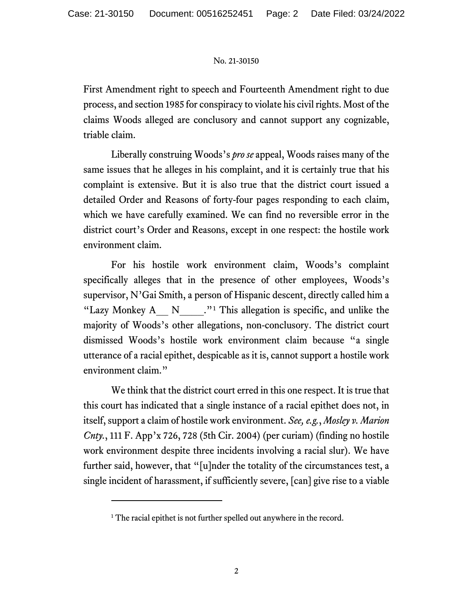## No. 21-30150

First Amendment right to speech and Fourteenth Amendment right to due process, and section 1985 for conspiracy to violate his civil rights. Most of the claims Woods alleged are conclusory and cannot support any cognizable, triable claim.

Liberally construing Woods's *pro se* appeal, Woods raises many of the same issues that he alleges in his complaint, and it is certainly true that his complaint is extensive. But it is also true that the district court issued a detailed Order and Reasons of forty-four pages responding to each claim, which we have carefully examined. We can find no reversible error in the district court's Order and Reasons, except in one respect: the hostile work environment claim.

For his hostile work environment claim, Woods's complaint specifically alleges that in the presence of other employees, Woods's supervisor, N'Gai Smith, a person of Hispanic descent, directly called him a "Lazy Monkey  $A_1 N_2$  $A_1 N_2$  $A_1 N_2$ ."<sup>1</sup> This allegation is specific, and unlike the majority of Woods's other allegations, non-conclusory. The district court dismissed Woods's hostile work environment claim because "a single utterance of a racial epithet, despicable as it is, cannot support a hostile work environment claim."

We think that the district court erred in this one respect. It is true that this court has indicated that a single instance of a racial epithet does not, in itself, support a claim of hostile work environment. *See, e.g.*, *Mosley v. Marion Cnty.*, 111 F. App'x 726, 728 (5th Cir. 2004) (per curiam) (finding no hostile work environment despite three incidents involving a racial slur). We have further said, however, that "[u]nder the totality of the circumstances test, a single incident of harassment, if sufficiently severe, [can] give rise to a viable

<span id="page-1-0"></span><sup>&</sup>lt;sup>1</sup> The racial epithet is not further spelled out anywhere in the record.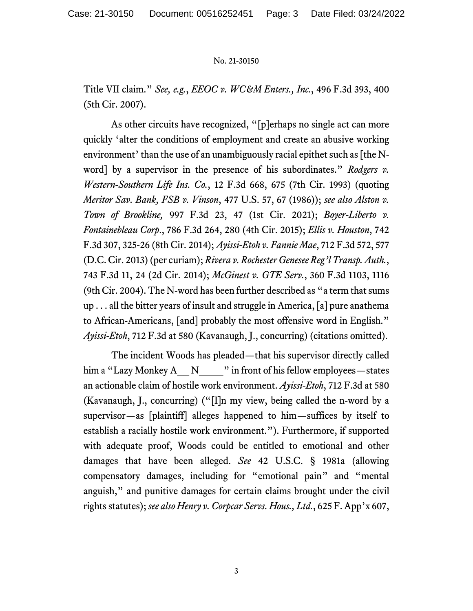## No. 21-30150

Title VII claim." *See, e.g.*, *EEOC v. WC&M Enters., Inc.*, 496 F.3d 393, 400 (5th Cir. 2007).

As other circuits have recognized, "[p]erhaps no single act can more quickly 'alter the conditions of employment and create an abusive working environment' than the use of an unambiguously racial epithet such as  $[the N$ word] by a supervisor in the presence of his subordinates." *Rodgers v. Western-Southern Life Ins. Co.*, 12 F.3d 668, 675 (7th Cir. 1993) (quoting *Meritor Sav. Bank, FSB v. Vinson*, 477 U.S. 57, 67 (1986)); *see also Alston v. Town of Brookline,* 997 F.3d 23, 47 (1st Cir. 2021); *Boyer-Liberto v. Fontainebleau Corp*., 786 F.3d 264, 280 (4th Cir. 2015); *Ellis v. Houston*, 742 F.3d 307, 325-26 (8th Cir. 2014); *Ayissi-Etoh v. Fannie Mae*, 712 F.3d 572, 577 (D.C. Cir. 2013) (per curiam); *Rivera v. Rochester Genesee Reg'l Transp. Auth.*, 743 F.3d 11, 24 (2d Cir. 2014); *McGinest v. GTE Serv.*, 360 F.3d 1103, 1116 (9th Cir. 2004). The N-word has been further described as "a term that sums up . . . all the bitter years of insult and struggle in America, [a] pure anathema to African-Americans, [and] probably the most offensive word in English." *Ayissi-Etoh*, 712 F.3d at 580 (Kavanaugh, J., concurring) (citations omitted).

The incident Woods has pleaded—that his supervisor directly called him a "Lazy Monkey A\_ N\_\_\_\_" in front of his fellow employees—states an actionable claim of hostile work environment. *Ayissi-Etoh*, 712 F.3d at 580 (Kavanaugh, J., concurring) ("[I]n my view, being called the n-word by a supervisor—as [plaintiff] alleges happened to him—suffices by itself to establish a racially hostile work environment."). Furthermore, if supported with adequate proof, Woods could be entitled to emotional and other damages that have been alleged. *See* 42 U.S.C. § 1981a (allowing compensatory damages, including for "emotional pain" and "mental anguish," and punitive damages for certain claims brought under the civil rights statutes); *see also Henry v. Corpcar Servs. Hous., Ltd.*, 625 F. App'x 607,